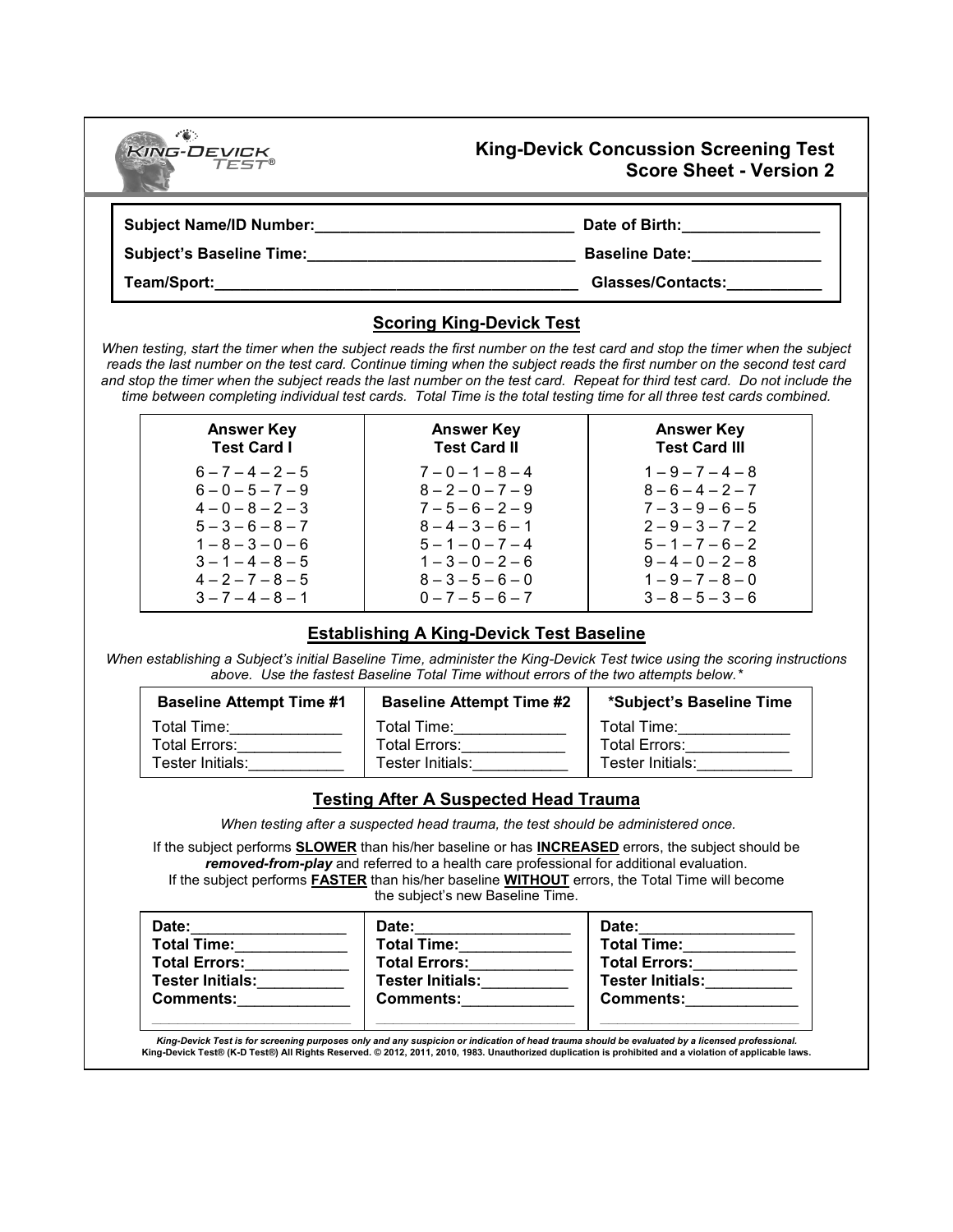| <b>KING-DEVICK</b>              | <b>King-Devick Concussion Screening Test</b>                                                                                                                                                                                                                                                                                                                                                                                                                                                                                                     |
|---------------------------------|--------------------------------------------------------------------------------------------------------------------------------------------------------------------------------------------------------------------------------------------------------------------------------------------------------------------------------------------------------------------------------------------------------------------------------------------------------------------------------------------------------------------------------------------------|
| TEST®                           | <b>Score Sheet - Version 2</b>                                                                                                                                                                                                                                                                                                                                                                                                                                                                                                                   |
| <b>Subject Name/ID Number:</b>  | Date of Birth:                                                                                                                                                                                                                                                                                                                                                                                                                                                                                                                                   |
| <b>Subject's Baseline Time:</b> | <b>Baseline Date:</b>                                                                                                                                                                                                                                                                                                                                                                                                                                                                                                                            |
| Team/Sport:                     | Glasses/Contacts:                                                                                                                                                                                                                                                                                                                                                                                                                                                                                                                                |
|                                 | <b>Scoring King-Devick Test</b><br>When testing, start the timer when the subject reads the first number on the test card and stop the timer when the subject<br>reads the last number on the test card. Continue timing when the subject reads the first number on the second test card<br>and stop the timer when the subject reads the last number on the test card. Repeat for third test card. Do not include the<br>time between completing individual test cards. Total Time is the total testing time for all three test cards combined. |

| <b>Answer Key</b>   | <b>Answer Key</b>   | <b>Answer Key</b>    |
|---------------------|---------------------|----------------------|
| <b>Test Card I</b>  | <b>Test Card II</b> | <b>Test Card III</b> |
| $6 - 7 - 4 - 2 - 5$ | $7 - 0 - 1 - 8 - 4$ | $1 - 9 - 7 - 4 - 8$  |
| $6 - 0 - 5 - 7 - 9$ | $8 - 2 - 0 - 7 - 9$ | $8 - 6 - 4 - 2 - 7$  |
| $4 - 0 - 8 - 2 - 3$ | $7 - 5 - 6 - 2 - 9$ | $7 - 3 - 9 - 6 - 5$  |
| $5 - 3 - 6 - 8 - 7$ | $8 - 4 - 3 - 6 - 1$ | $2 - 9 - 3 - 7 - 2$  |
| $1 - 8 - 3 - 0 - 6$ | $5 - 1 - 0 - 7 - 4$ | $5 - 1 - 7 - 6 - 2$  |
| $3 - 1 - 4 - 8 - 5$ | $1 - 3 - 0 - 2 - 6$ | $9-4-0-2-8$          |
| $4 - 2 - 7 - 8 - 5$ | $8 - 3 - 5 - 6 - 0$ | $1 - 9 - 7 - 8 - 0$  |
| $3 - 7 - 4 - 8 - 1$ | $0 - 7 - 5 - 6 - 7$ | $3 - 8 - 5 - 3 - 6$  |

## **Establishing A King-Devick Test Baseline**

*When establishing a Subject's initial Baseline Time, administer the King-Devick Test twice using the scoring instructions* above. Use the fastest Baseline Total Time without errors of the two attempts below.\*

| <b>Baseline Attempt Time #1</b>                  | <b>Baseline Attempt Time #2</b>                    | *Subject's Baseline Time                         |
|--------------------------------------------------|----------------------------------------------------|--------------------------------------------------|
| Total Time:<br>Total Errors:<br>Tester Initials: | Total Time:<br>Total Errors:<br>Tester Initials: I | Total Time:<br>Total Errors:<br>Tester Initials: |
|                                                  |                                                    |                                                  |

## **Testing After A Suspected Head Trauma**

When testing after a suspected head trauma, the test should be administered once.

If the subject performs **SLOWER** than his/her baseline or has **INCREASED** errors, the subject should be removed-from-play and referred to a health care professional for additional evaluation. If the subject performs **FASTER** than his/her baseline **WITHOUT** errors, the Total Time will become

the subject's new Baseline Time.

| Date:                   | Date:                   |
|-------------------------|-------------------------|
| <b>Total Time:</b>      | <b>Total Time:</b>      |
| <b>Total Errors:</b>    | <b>Total Errors:</b>    |
| <b>Tester Initials:</b> | <b>Tester Initials:</b> |
| <b>Comments:</b>        | <b>Comments:</b>        |
|                         |                         |

| Date:                   |
|-------------------------|
| <b>Total Time:</b>      |
| <b>Total Errors:</b>    |
| <b>Tester Initials:</b> |
| <b>Comments:</b>        |
|                         |

King-Devick Test is for screening purposes only and any suspicion or indication of head trauma should be evaluated by a licensed professional.<br>King-Devick Test® (K-D Test®) All Rights Reserved. © 2012, 2011, 2010, 1983. U